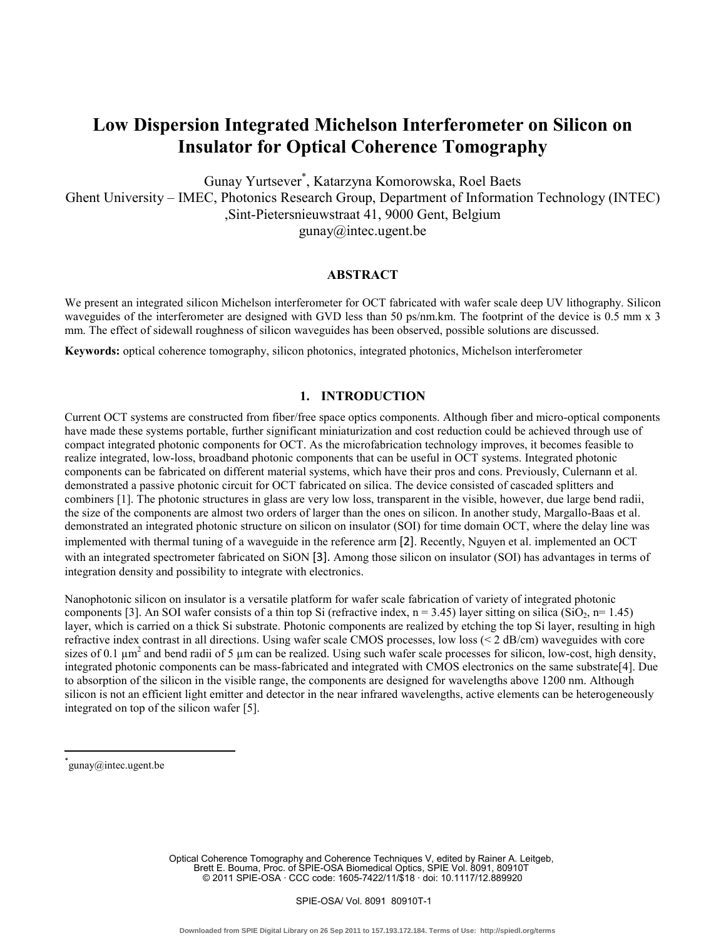# **Low Dispersion Integrated Michelson Interferometer on Silicon on Insulator for Optical Coherence Tomography**

Gunay Yurtsever\* , Katarzyna Komorowska, Roel Baets

Ghent University – IMEC, Photonics Research Group, Department of Information Technology (INTEC) ,Sint-Pietersnieuwstraat 41, 9000 Gent, Belgium

gunay@intec.ugent.be

### **ABSTRACT**

We present an integrated silicon Michelson interferometer for OCT fabricated with wafer scale deep UV lithography. Silicon waveguides of the interferometer are designed with GVD less than 50 ps/nm.km. The footprint of the device is 0.5 mm x 3 mm. The effect of sidewall roughness of silicon waveguides has been observed, possible solutions are discussed.

**Keywords:** optical coherence tomography, silicon photonics, integrated photonics, Michelson interferometer

## **1. INTRODUCTION**

Current OCT systems are constructed from fiber/free space optics components. Although fiber and micro-optical components have made these systems portable, further significant miniaturization and cost reduction could be achieved through use of compact integrated photonic components for OCT. As the microfabrication technology improves, it becomes feasible to realize integrated, low-loss, broadband photonic components that can be useful in OCT systems. Integrated photonic components can be fabricated on different material systems, which have their pros and cons. Previously, Culernann et al. demonstrated a passive photonic circuit for OCT fabricated on silica. The device consisted of cascaded splitters and combiners [1]. The photonic structures in glass are very low loss, transparent in the visible, however, due large bend radii, the size of the components are almost two orders of larger than the ones on silicon. In another study, Margallo-Baas et al. demonstrated an integrated photonic structure on silicon on insulator (SOI) for time domain OCT, where the delay line was implemented with thermal tuning of a waveguide in the reference arm [2]. Recently, Nguyen et al. implemented an OCT with an integrated spectrometer fabricated on SiON [3]. Among those silicon on insulator (SOI) has advantages in terms of integration density and possibility to integrate with electronics.

Nanophotonic silicon on insulator is a versatile platform for wafer scale fabrication of variety of integrated photonic components [3]. An SOI wafer consists of a thin top Si (refractive index,  $n = 3.45$ ) layer sitting on silica (SiO<sub>2</sub>,  $n= 1.45$ ) layer, which is carried on a thick Si substrate. Photonic components are realized by etching the top Si layer, resulting in high refractive index contrast in all directions. Using wafer scale CMOS processes, low loss (< 2 dB/cm) waveguides with core sizes of 0.1  $\mu$ m<sup>2</sup> and bend radii of 5  $\mu$ m can be realized. Using such wafer scale processes for silicon, low-cost, high density, integrated photonic components can be mass-fabricated and integrated with CMOS electronics on the same substrate[4]. Due to absorption of the silicon in the visible range, the components are designed for wavelengths above 1200 nm. Although silicon is not an efficient light emitter and detector in the near infrared wavelengths, active elements can be heterogeneously integrated on top of the silicon wafer [5].

 $\overline{a}$ 

Optical Coherence Tomography and Coherence Techniques V, edited by Rainer A. Leitgeb, Brett E. Bouma, Proc. of SPIE-OSA Biomedical Optics, SPIE Vol. 8091, 80910T © 2011 SPIE-OSA · CCC code: 1605-7422/11/\$18 · doi: 10.1117/12.889920

<sup>\*</sup> gunay@intec.ugent.be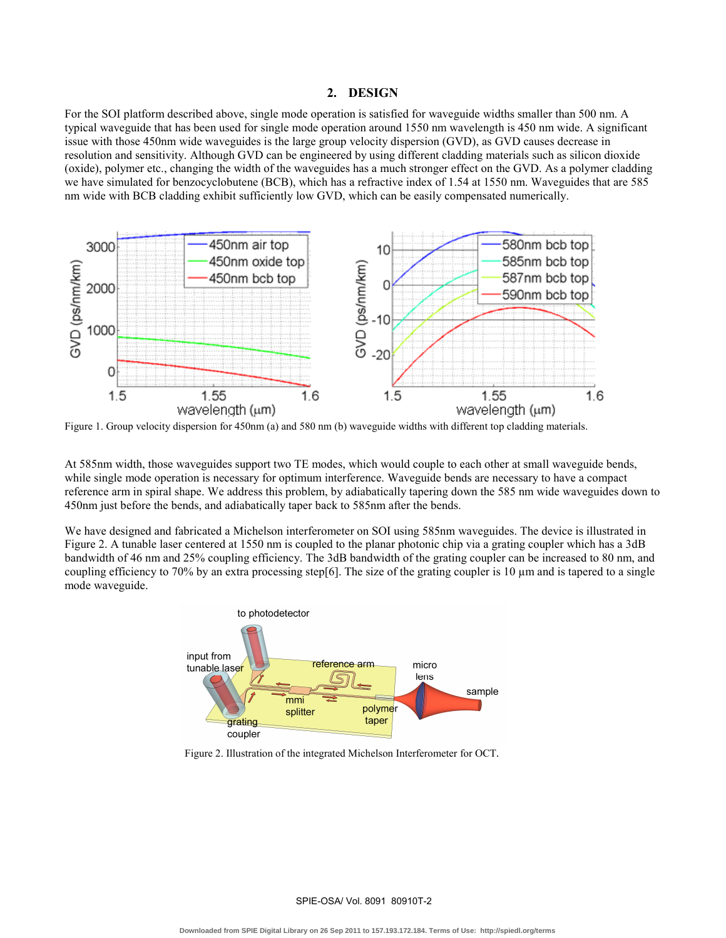#### **2. DESIGN**

For the SOI platform described above, single mode operation is satisfied for waveguide widths smaller than 500 nm. A typical waveguide that has been used for single mode operation around 1550 nm wavelength is 450 nm wide. A significant issue with those 450nm wide waveguides is the large group velocity dispersion (GVD), as GVD causes decrease in resolution and sensitivity. Although GVD can be engineered by using different cladding materials such as silicon dioxide (oxide), polymer etc., changing the width of the waveguides has a much stronger effect on the GVD. As a polymer cladding we have simulated for benzocyclobutene (BCB), which has a refractive index of 1.54 at 1550 nm. Waveguides that are 585 nm wide with BCB cladding exhibit sufficiently low GVD, which can be easily compensated numerically.



Figure 1. Group velocity dispersion for 450nm (a) and 580 nm (b) waveguide widths with different top cladding materials.

At 585nm width, those waveguides support two TE modes, which would couple to each other at small waveguide bends, while single mode operation is necessary for optimum interference. Waveguide bends are necessary to have a compact reference arm in spiral shape. We address this problem, by adiabatically tapering down the 585 nm wide waveguides down to 450nm just before the bends, and adiabatically taper back to 585nm after the bends.

We have designed and fabricated a Michelson interferometer on SOI using 585nm waveguides. The device is illustrated in Figure 2. A tunable laser centered at 1550 nm is coupled to the planar photonic chip via a grating coupler which has a 3dB bandwidth of 46 nm and 25% coupling efficiency. The 3dB bandwidth of the grating coupler can be increased to 80 nm, and coupling efficiency to 70% by an extra processing step[6]. The size of the grating coupler is 10  $\mu$ m and is tapered to a single mode waveguide.



Figure 2. Illustration of the integrated Michelson Interferometer for OCT.

SPIE-OSA/ Vol. 8091 80910T-2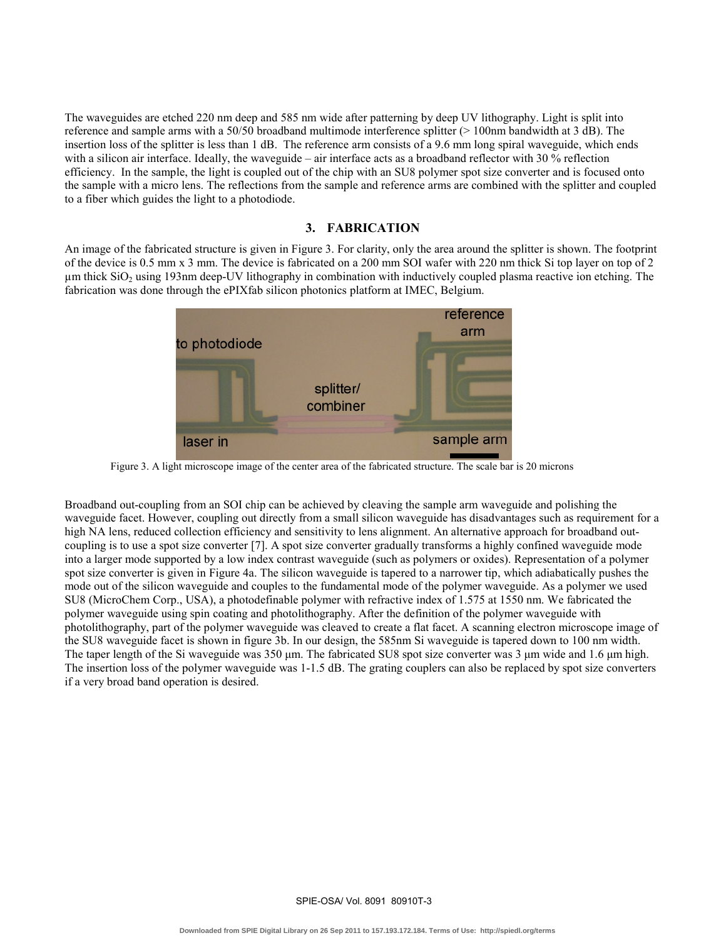The waveguides are etched 220 nm deep and 585 nm wide after patterning by deep UV lithography. Light is split into reference and sample arms with a 50/50 broadband multimode interference splitter (> 100nm bandwidth at 3 dB). The insertion loss of the splitter is less than 1 dB. The reference arm consists of a 9.6 mm long spiral waveguide, which ends with a silicon air interface. Ideally, the waveguide – air interface acts as a broadband reflector with 30 % reflection efficiency. In the sample, the light is coupled out of the chip with an SU8 polymer spot size converter and is focused onto the sample with a micro lens. The reflections from the sample and reference arms are combined with the splitter and coupled to a fiber which guides the light to a photodiode.

## **3. FABRICATION**

An image of the fabricated structure is given in Figure 3. For clarity, only the area around the splitter is shown. The footprint of the device is 0.5 mm x 3 mm. The device is fabricated on a 200 mm SOI wafer with 220 nm thick Si top layer on top of 2  $\mu$ m thick SiO<sub>2</sub> using 193nm deep-UV lithography in combination with inductively coupled plasma reactive ion etching. The fabrication was done through the ePIXfab silicon photonics platform at IMEC, Belgium.



Figure 3. A light microscope image of the center area of the fabricated structure. The scale bar is 20 microns

Broadband out-coupling from an SOI chip can be achieved by cleaving the sample arm waveguide and polishing the waveguide facet. However, coupling out directly from a small silicon waveguide has disadvantages such as requirement for a high NA lens, reduced collection efficiency and sensitivity to lens alignment. An alternative approach for broadband outcoupling is to use a spot size converter [7]. A spot size converter gradually transforms a highly confined waveguide mode into a larger mode supported by a low index contrast waveguide (such as polymers or oxides). Representation of a polymer spot size converter is given in Figure 4a. The silicon waveguide is tapered to a narrower tip, which adiabatically pushes the mode out of the silicon waveguide and couples to the fundamental mode of the polymer waveguide. As a polymer we used SU8 (MicroChem Corp., USA), a photodefinable polymer with refractive index of 1.575 at 1550 nm. We fabricated the polymer waveguide using spin coating and photolithography. After the definition of the polymer waveguide with photolithography, part of the polymer waveguide was cleaved to create a flat facet. A scanning electron microscope image of the SU8 waveguide facet is shown in figure 3b. In our design, the 585nm Si waveguide is tapered down to 100 nm width. The taper length of the Si waveguide was 350 μm. The fabricated SU8 spot size converter was 3 μm wide and 1.6 μm high. The insertion loss of the polymer waveguide was 1-1.5 dB. The grating couplers can also be replaced by spot size converters if a very broad band operation is desired.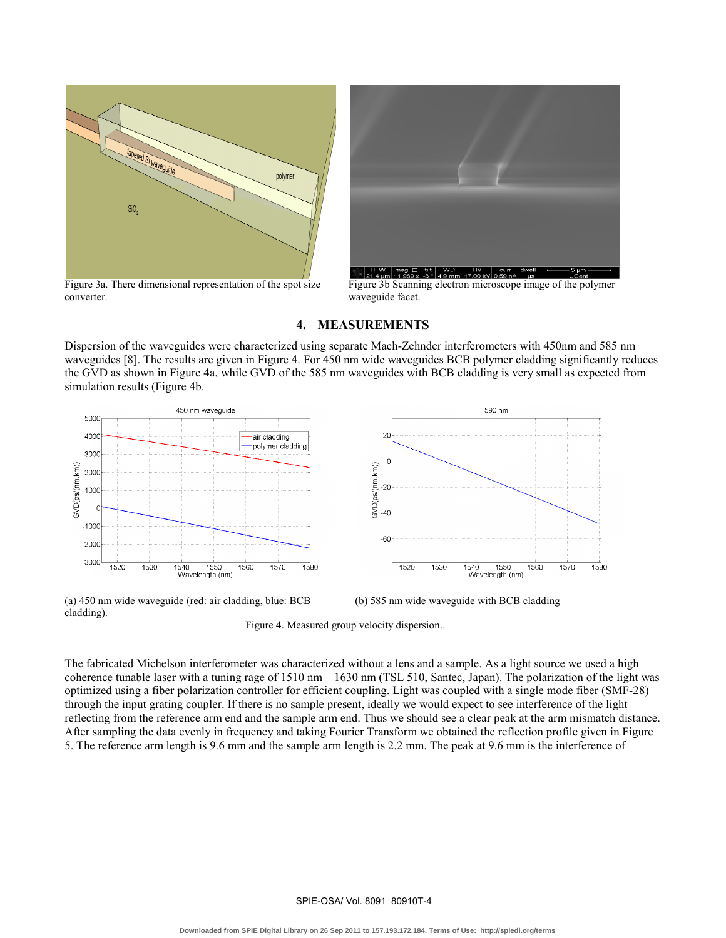

Figure 3a. There dimensional representation of the spot size converter.



Figure 3b Scanning electron microscope image of the polymer waveguide facet.

#### **4. MEASUREMENTS**

Dispersion of the waveguides were characterized using separate Mach-Zehnder interferometers with 450nm and 585 nm waveguides [8]. The results are given in Figure 4. For 450 nm wide waveguides BCB polymer cladding significantly reduces the GVD as shown in Figure 4a, while GVD of the 585 nm waveguides with BCB cladding is very small as expected from simulation results (Figure 4b.



590 nm  $20$  $\overline{0}$ 3VD(ps/(nm.km))  $-20$  $-40$  $-60$ 1570 1520 1530 1550 1560 1580 1540 Wavelength (nm)

(a) 450 nm wide waveguide (red: air cladding, blue: BCB cladding).



(b) 585 nm wide waveguide with BCB cladding

Figure 4. Measured group velocity dispersion..

The fabricated Michelson interferometer was characterized without a lens and a sample. As a light source we used a high coherence tunable laser with a tuning rage of 1510 nm – 1630 nm (TSL 510, Santec, Japan). The polarization of the light was optimized using a fiber polarization controller for efficient coupling. Light was coupled with a single mode fiber (SMF-28) through the input grating coupler. If there is no sample present, ideally we would expect to see interference of the light reflecting from the reference arm end and the sample arm end. Thus we should see a clear peak at the arm mismatch distance. After sampling the data evenly in frequency and taking Fourier Transform we obtained the reflection profile given in Figure 5. The reference arm length is 9.6 mm and the sample arm length is 2.2 mm. The peak at 9.6 mm is the interference of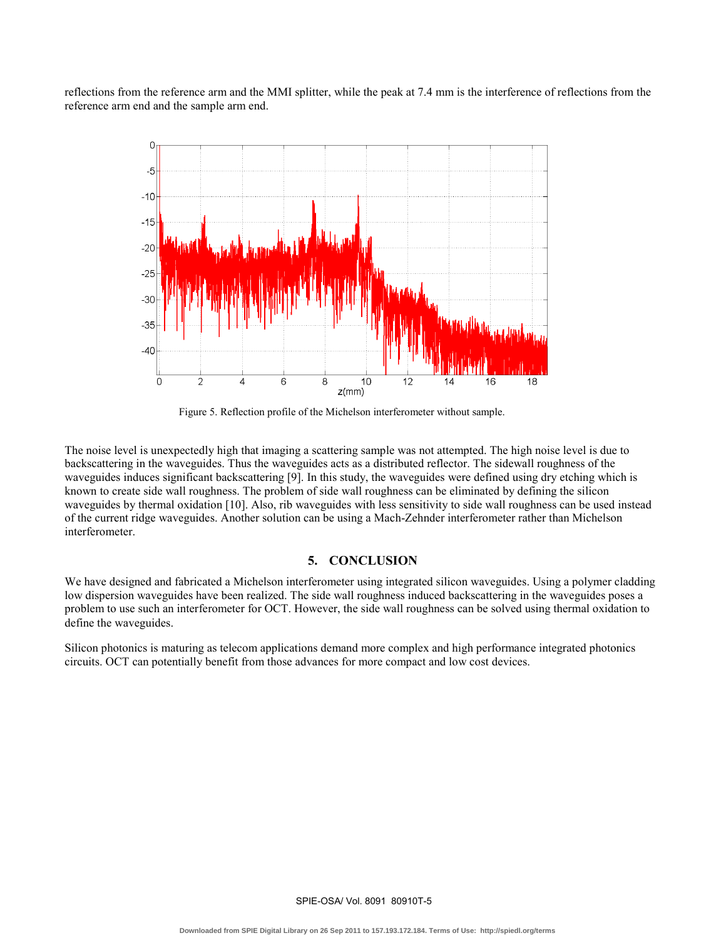reflections from the reference arm and the MMI splitter, while the peak at 7.4 mm is the interference of reflections from the reference arm end and the sample arm end.



Figure 5. Reflection profile of the Michelson interferometer without sample.

The noise level is unexpectedly high that imaging a scattering sample was not attempted. The high noise level is due to backscattering in the waveguides. Thus the waveguides acts as a distributed reflector. The sidewall roughness of the waveguides induces significant backscattering [9]. In this study, the waveguides were defined using dry etching which is known to create side wall roughness. The problem of side wall roughness can be eliminated by defining the silicon waveguides by thermal oxidation [10]. Also, rib waveguides with less sensitivity to side wall roughness can be used instead of the current ridge waveguides. Another solution can be using a Mach-Zehnder interferometer rather than Michelson interferometer.

## **5. CONCLUSION**

We have designed and fabricated a Michelson interferometer using integrated silicon waveguides. Using a polymer cladding low dispersion waveguides have been realized. The side wall roughness induced backscattering in the waveguides poses a problem to use such an interferometer for OCT. However, the side wall roughness can be solved using thermal oxidation to define the waveguides.

Silicon photonics is maturing as telecom applications demand more complex and high performance integrated photonics circuits. OCT can potentially benefit from those advances for more compact and low cost devices.